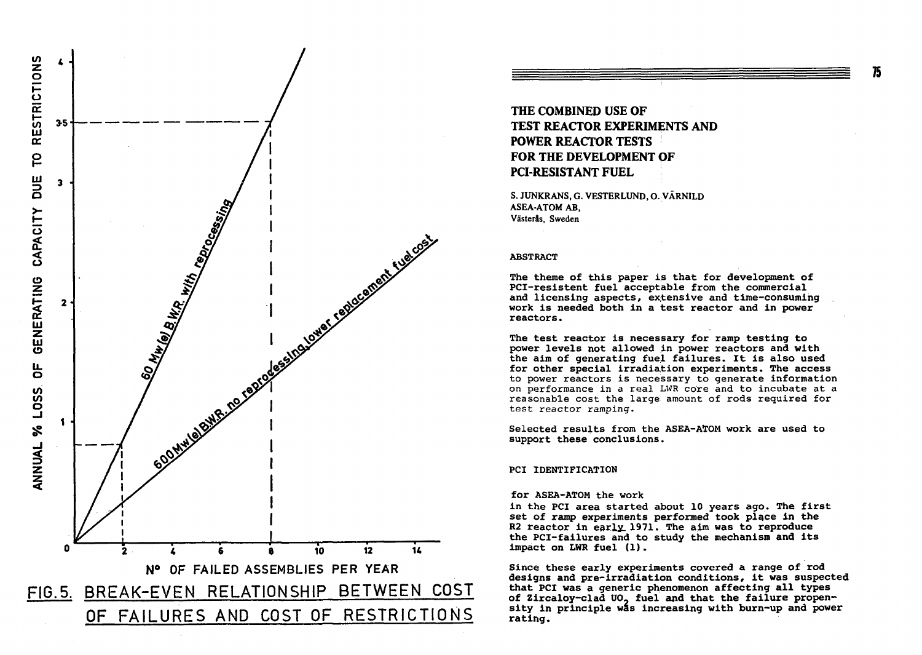

**THE COMBINED USE OF TEST REACTOR EXPERIMENTS AND POWER REACTOR TESTS FOR THE DEVELOPMENT OF PCI-RESISTANT FUEL** 

S. JUNKRANS, G. VESTERLUND, O. VÄRNILD ASEA-ATOM AB, Västeräs, Sweden

## **ABSTRACT**

**The theme of this paper is that for development of PCI-resistent fuel acceptable from the commercial and licensing aspects, extensive and time-consuming work is needed both in a test reactor and in power reactors.** 

**The test reactor is necessary for ramp testing to power levels not allowed in power reactors and with the aim of generating fuel failures. It is also used for other special irradiation experiments. The access**  to power reactors is necessary to generate **information**  on performance in a real LWR core and to incubate at a reasonable cost the large amount of rods required for test reactor ramping.

**Selected results from the ASEA-AÏOM work are used to support these conclusions.** 

# **PCI IDENTIFICATION**

## **for ASEA-ATOM the work**

**in the PCI area started about 10 years ago. The first set of ramp experiments performed took place in the**  R2 reactor in early 1971. The aim was to reproduce **the PCI-failures and to study the mechanism and its impact on LHR fuel (1).** 

**Since these early experiments covered a range of rod designs and pre-irradiation conditions, it was suspected that PCI was a generic phenomenon affecting all types**  of Zircaloy-clad UO<sub>2</sub> fuel and that the failure propensity in principle was increasing with burn-up and power **rating.**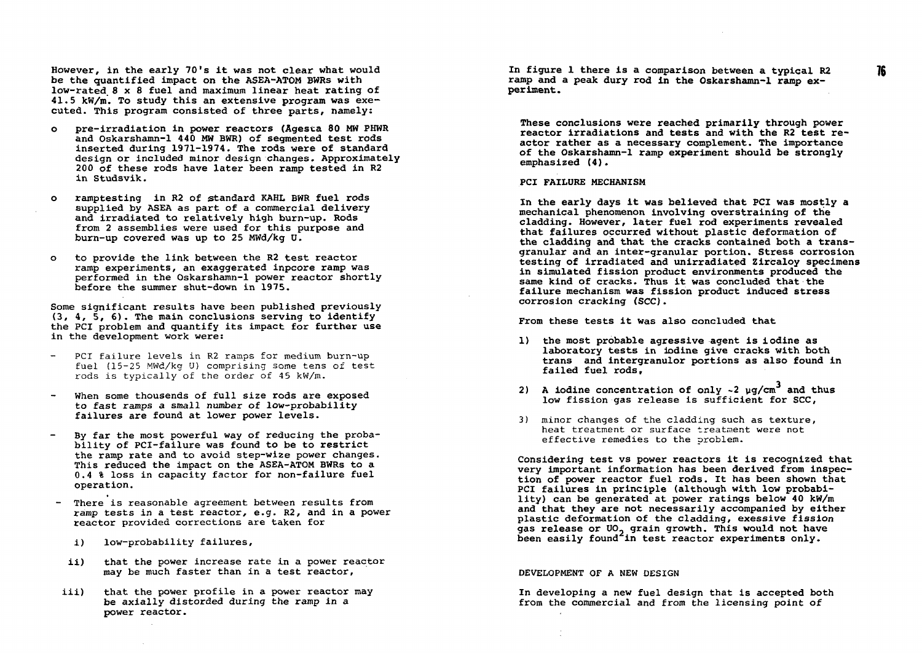**However, in the early 70's it was not clear what would be the quantified impact on the ASEA-ATOM BWRs with low-rated. 8x 8 fuel and maximum linear heat rating of 41.5 kW/m. To study this an extensive program was executed. This program consisted of three parts, namely:** 

- **o pre-irradiation in power reactors (Agesta 80 MW PHWR and Oskarshamn-1 440 MW BWR) of segmented test rods inserted during 1971-1974. The rods were of standard design or included minor design changes. Approximately 200 of these rods have later been ramp tested in R2 in Studsvik.**
- **o ramptesting in R2 of standard KAHL BWR fuel rods supplied by ASEA as part of a commercial delivery and irradiated to relatively high burn-up. Rods from 2 assemblies were used for this purpose and burn-up covered was up to 25 MWd/kg U.**
- **o to provide the link between the R2 test reactor ramp experiments, an exaggerated inpcore ramp was performed in the Oskarshamn-1 power reactor shortly before the summer shut-down in 1975.**

**Some significant results have been published previously (3, 4, 5, 6). The main conclusions serving to identify the PCI problem and quantify its impact for further use in the development work were:** 

- PCI failure levels in R2 ramps for medium burn-up fuel (15-25 MWd/kg U) comprising some tens of test rods is typically of the order of 45 kW/m.
- **When some thousends of full size rods are exposed to fast ramps a small number of low-probability failures are found at lower power levels.**
- **By far the most powerful way of reducing the probability of PCI-failure was found to be to restrict the ramp rate and to avoid step-wize power changes. This reduced the impact on the ASEA-ATQM BWRs to a 0.4 % loss in capacity factor for non-failure fuel operation.**
- **There is reasonable agreement between results from ramp tests in a test reactor, e.g. R2, and in a power reactor provided corrections are taken for** 
	- **i) low-probability failures,**
	- **ii) that the power increase rate in a power reactor may be much faster than in a test reactor,**
- iii) that the power profile in a power reactor may **be axially distorded during the ramp in a power reactor.**

**In figure 1 there is a comparison between a typical R2 ramp and a peak dury rod in the Oskarshamn-1 ramp experiment.** 

**These conclusions were reached primarily through power reactor irradiations and tests and with the R2 test reactor rather as a necessary complement. The importance of the Oskarshamn-1 ramp experiment should be strongly emphasized (4).** 

### **PCI FAILURE MECHANISM**

**In the early days it was believed that PCI was mostly a mechanical phenomenon involving overstraining of the cladding. However, later fuel rod experiments revealed that failures occurred without plastic deformation of the cladding and that the cracks contained both a transgranular and an inter-granular portion. Stress corrosion testing of irradiated and unirradiated Zircaloy specimens in simulated fission product environments produced the same kind of cracks. Thus it was concluded that the failure mechanism was fission product induced stress corrosion cracking (SCC).** 

**From these tests it was also concluded that** 

- **1) the most probable agressive agent is iodine as laboratory tests in iodine give cracks with both trans and intergranulor portions as also found in failed fuel rods,**
- **2) A iodine concentration of only** *-2* **yg/cm<sup>3</sup> and thus low fission gas release is sufficient for SCC,**
- 3) minor changes of the cladding such as texture, heat treatment or surface treatment were not effective remedies to the problem.

**Considering test vs power reactors it is recognized that very important information has been derived from inspection of power reactor fuel rods. It has been shown that PCI failures in principle (although with low probability) can be generated at power ratings below 40 kW/m and that they are not necessarily accompanied by either plastic deformation of the cladding, exessive fission gas release or UO^ grain growth. This would not have been easily found in test reactor experiments only.** 

#### DEVELOPMENT OF A NEW DESIGN

**In developing a new fuel design that is accepted both from the commercial and from the licensing point of**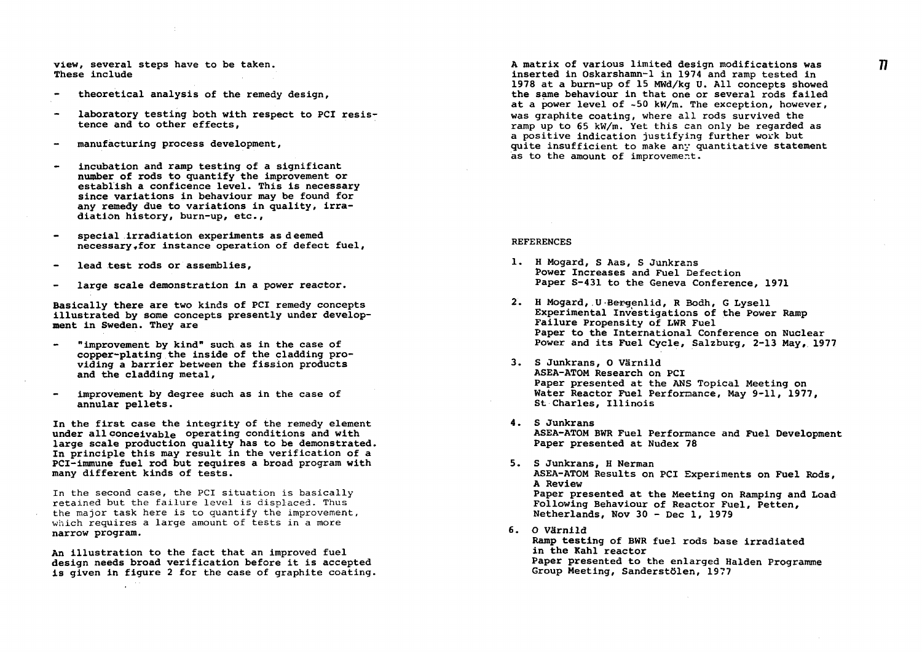**view, several steps have to be taken. These include** 

- **theoretical analysis of the remedy design,**
- **laboratory testing both with respect to PCI resis tence and to other effects,**
- **manufacturing process development,**
- **incubation and ramp testing of a significant number of rods to quantify the improvement or establish a conflcence level. This is necessary since variations in behaviour may be found for any remedy due to variations in quality, irradiation history, burn-up, etc.,**
- **special irradiation experiments as deemed**  necessary.for instance operation of defect fuel,
- **lead test rods or assemblies,**
- **large scale demonstration in a power reactor.**

**Basically there are two kinds of PCI remedy concepts illustrated by some concepts presently under development in Sweden. They are** 

- **"improvement by kind" such as in the case of**   $\bullet$ **copper-plating the inside of the cladding providing a barrier between the fission products and the cladding metal,**
- **improvement by degree such as in the case of annular pellets.**

**In the first case the integrity of the remedy element under all conceivable operating conditions and with large scale production quality has to be demonstrated In principle this may result in the verification of a PCI-immune fuel rod but requires a broad program with many different kinds of tests.** 

In the second case, the PCI situation is basically retained but the failure level is displaced. Thus the major task here is to quantify the improvement, which requires a large amount of tests in a more **narrow program.** 

**An illustration to the fact that an improved fuel design needs broad verification before it is accepted is given in figure 2 for the case of graphite coating**  **A matrix of various limited design modifications was inserted in Oskarshamn-1 in 1974 and ramp tested in 1978 at a burn-up of 15 MWd/kg U. All concepts showed the same behaviour in that one or several rods failed at a power level of -50 kW/m. The exception, however, was graphite coating, where all rods survived the ramp up to 65 kW/m. Yet this can only be regarded as a positive indication justifying further work but quite insufficient to make any quantitative statement as to the amount of improvement.** 

#### **REFERENCES**

- **1. H Mogard, S Aas, S Junkrans Fower Increases and Fuel Defection Paper S-431 to the Geneva Conference, 1971**
- 2. H Mogard, U Bergenlid, R Bodh, G Lysell **Experimental Investigations of the Power Ramp Failure Propensity of LWR Fuel Paper to the International Conference on Nuclear Power and its Fuel Cycle, Salzburg, 2-13 May, 1977**
- **3. S Junkrans, O Värnild ASEA-ATOM Research on PCI Paper presented at the ANS Topical Meeting on Water Reactor Fuel Performance, May 9-11, 1977, St Charles, Illinois**
- **4. S Junkrans ASEA-ATOM BWR Fuel Performance and Fuel Development Paper presented at Nudex 78**
- **5. S Junkrans, H Nerman ASEA-ATOM Results on PCI Experiments on Fuel Rods, A Review Paper presented at the Meeting on Ramping and Load Following Behaviour of Reactor Fuel, Petten, Netherlands, Nov 30 - Dec 1, 1979**
- **6. O Värnild Ramp testing of BWR fuel rods base irradiated in the Kahl reactor Paper presented to the enlarged Halden Programme Group Meeting, Sanderstölen, 1977**